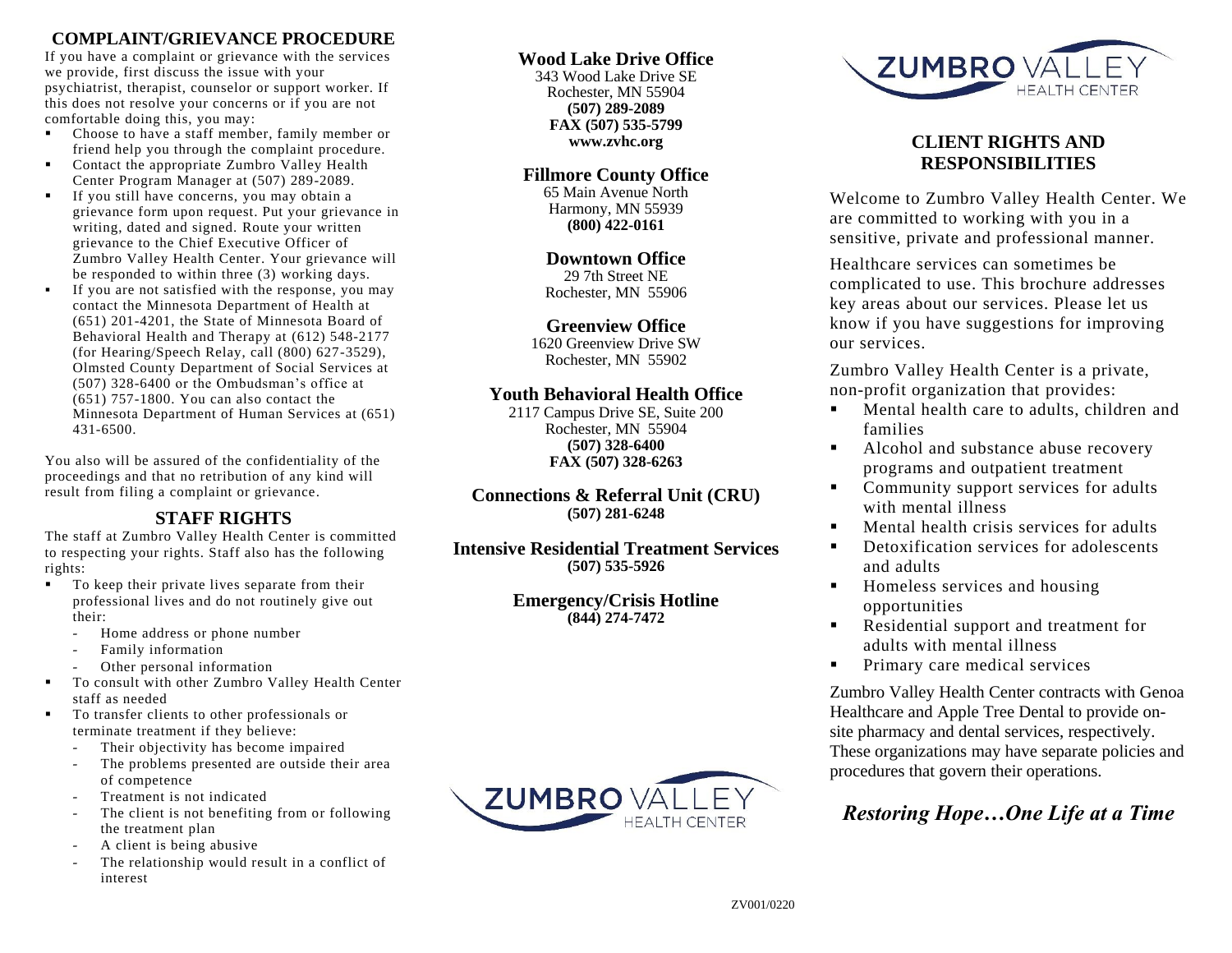## **COMPLAINT/GRIEVANCE PROCEDURE**

If you have a complaint or grievance with the services we provide, first discuss the issue with your psychiatrist, therapist, counselor or support worker. If this does not resolve your concerns or if you are not comfortable doing this, you may:

- Choose to have a staff member, family member or friend help you through the complaint procedure.
- Contact the appropriate Zumbro Valley Health Center Program Manager at (507) 289-2089.
- If you still have concerns, you may obtain a grievance form upon request. Put your grievance in writing, dated and signed. Route your written grievance to the Chief Executive Officer of Zumbro Valley Health Center. Your grievance will be responded to within three (3) working days.
- If you are not satisfied with the response, you may contact the Minnesota Department of Health at (651) 201-4201, the State of Minnesota Board of Behavioral Health and Therapy at (612) 548-2177 (for Hearing/Speech Relay, call (800) 627-3529), Olmsted County Department of Social Services at (507) 328-6400 or the Ombudsman's office at (651) 757-1800. You can also contact the Minnesota Department of Human Services at (651) 431-6500.

You also will be assured of the confidentiality of the proceedings and that no retribution of any kind will result from filing a complaint or grievance.

# **STAFF RIGHTS**

The staff at Zumbro Valley Health Center is committed to respecting your rights. Staff also has the following rights:

- To keep their private lives separate from their professional lives and do not routinely give out their:
	- Home address or phone number
	- Family information
	- Other personal information
- To consult with other Zumbro Valley Health Center staff as needed
- To transfer clients to other professionals or terminate treatment if they believe:
	- Their objectivity has become impaired
	- The problems presented are outside their area of competence
	- Treatment is not indicated
	- The client is not benefiting from or following the treatment plan
	- A client is being abusive
	- The relationship would result in a conflict of interest

### **Wood Lake Drive Office**

343 Wood Lake Drive SE Rochester, MN 55904 **(507) 289-2089 FAX (507) 535-5799 www.zvhc.org**

### **Fillmore County Office**

65 Main Avenue North Harmony, MN 55939 **(800) 422-0161**

### **Downtown Office**

29 7th Street NE Rochester, MN 55906

### **Greenview Office**

1620 Greenview Drive SW Rochester, MN 55902

### **Youth Behavioral Health Office**

2117 Campus Drive SE, Suite 200 Rochester, MN 55904 **(507) 328-6400 FAX (507) 328-6263**

**Connections & Referral Unit (CRU) (507) 281-6248**

**Intensive Residential Treatment Services (507) 535-5926**

> **Emergency/Crisis Hotline (844) 274-7472**





## **CLIENT RIGHTS AND RESPONSIBILITIES**

Welcome to Zumbro Valley Health Center. We are committed to working with you in a sensitive, private and professional manner.

Healthcare services can sometimes be complicated to use. This brochure addresses key areas about our services. Please let us know if you have suggestions for improving our services.

Zumbro Valley Health Center is a private, non-profit organization that provides:

- **Mental health care to adults, children and** families
- Alcohol and substance abuse recovery programs and outpatient treatment
- Community support services for adults with mental illness
- **Mental health crisis services for adults**
- **•** Detoxification services for adolescents and adults
- Homeless services and housing opportunities
- Residential support and treatment for adults with mental illness
- **Primary care medical services**

Zumbro Valley Health Center contracts with Genoa Healthcare and Apple Tree Dental to provide onsite pharmacy and dental services, respectively. These organizations may have separate policies and procedures that govern their operations.

# *Restoring Hope…One Life at a Time*